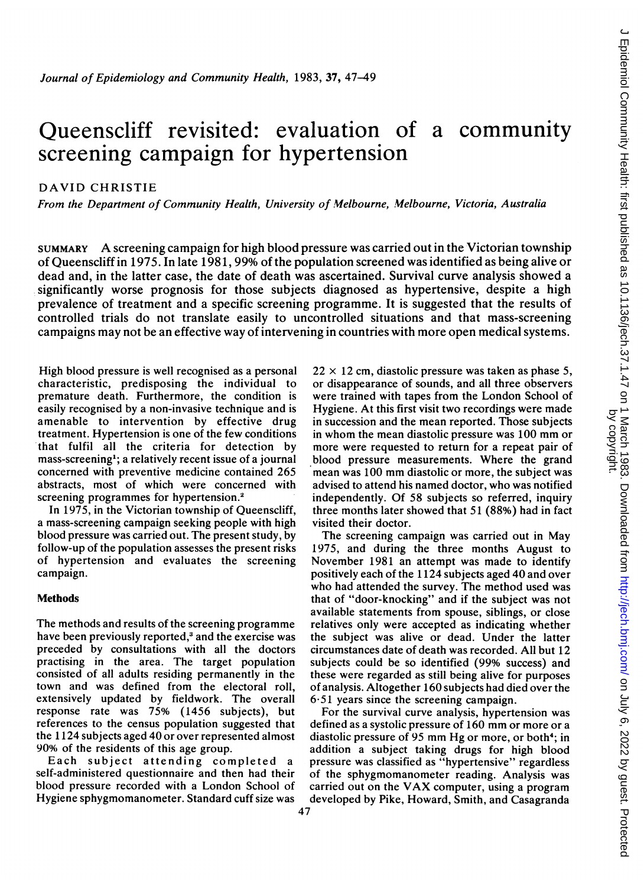# Queenscliff revisited: evaluation of a community screening campaign for hypertension

# DAVID CHRISTIE

From the Department of Community Health, University of Melbourne, Melbourne, Victoria, Australia

SUMMARY A screening campaign for high blood pressure was carried out in the Victorian township of Queenscliff in 1975. In late 1981, 99% of the population screened was identified as being alive or dead and, in the latter case, the date of death was ascertained. Survival curve analysis showed <sup>a</sup> significantly worse prognosis for those subjects diagnosed as hypertensive, despite a high prevalence of treatment and a specific screening programme. It is suggested that the results of controlled trials do not translate easily to uncontrolled situations and that mass-screening campaigns may not be an effective way of intervening in countries with more open medical systems.

High blood pressure is well recognised as a personal characteristic, predisposing the individual to premature death. Furthermore, the condition is easily recognised by a non-invasive technique and is amenable to intervention by effective drug treatment. Hypertension is one of the few conditions that fulfil all the criteria for detection by mass-screening'; a relatively recent issue of a journal concerned with preventive medicine contained 265 abstracts, most of which were concerned with screening programmes for hypertension.<sup>2</sup>

In 1975, in the Victorian township of Queenscliff, a mass-screening campaign seeking people with high blood pressure was carried out. The present study, by follow-up of the population assesses the present risks of hypertension and evaluates the screening campaign.

# Methods

The methods and results of the screening programme have been previously reported,<sup>3</sup> and the exercise was preceded by consultations with all the doctors practising in the area. The target population consisted of all adults residing permanently in the town and was defined from the electoral roll, extensively updated by fieldwork. The overall response rate was 75% (1456 subjects), but references to the census population suggested that the <sup>1</sup> 124 subjects aged 40 or over represented almost 90% of the residents of this age group.

Each subject attending completed <sup>a</sup> self-administered questionnaire and then had their blood pressure recorded with a London School of Hygiene sphygmomanometer. Standard cuff size was

 $22 \times 12$  cm, diastolic pressure was taken as phase 5, or disappearance of sounds, and all three observers were trained with tapes from the London School of Hygiene. At this first visit two recordings were made in succession and the mean reported. Those subjects in whom the mean diastolic pressure was <sup>100</sup> mm or more were requested to return for a repeat pair of blood pressure measurements. Where the grand mean was <sup>100</sup> mm diastolic or more, the subject was advised to attend his named doctor, who was notified independently. Of 58 subjects so referred, inquiry three months later showed that 51 (88%) had in fact visited their doctor.

The screening campaign was carried out in May 1975, and during the three months August to November 1981 an attempt was made to identify positively each of the 1 124 subjects aged 40 and over who had attended the survey. The method used was that of "door-knocking" and if the subject was not available statements from spouse, siblings, or close relatives only were accepted as indicating whether the subject was alive or dead. Under the latter circumstances date of death was recorded. All but 12 subjects could be so identified (99% success) and these were regarded as still being alive for purposes of analysis. Altogether 160 subjects had died over the  $6.51$  years since the screening campaign.

For the survival curve analysis, hypertension was defined as <sup>a</sup> systolic pressure of <sup>160</sup> mm or more or <sup>a</sup> diastolic pressure of 95 mm Hg or more, or both<sup>4</sup>; in addition a subject taking drugs for high blood pressure was classified as "hypertensive" regardless of the sphygmomanometer reading. Analysis was carried out on the VAX computer, using <sup>a</sup> program developed by Pike, Howard, Smith, and Casagranda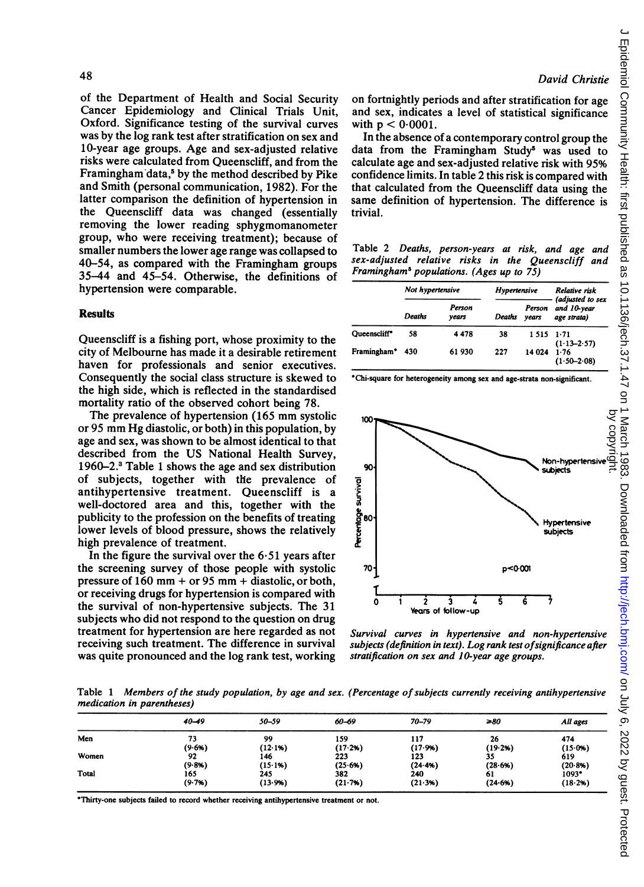of the Department of Health and Social Security Cancer Epidemiology and Clinical Trials Unit, Oxford. Significance testing of the survival curves was by the log rank test after stratification on sex and 10-year age groups. Age and sex-adjusted relative risks were calculated from Queenscliff, and from the Framingham data,<sup>5</sup> by the method described by Pike and Smith (personal communication, 1982). For the latter comparison the definition of hypertension in the Queenscliff data was changed (essentially removing the lower reading sphygmomanometer group, who were receiving treatment); because of smaller numbers the lower age range was collapsed to 40-54, as compared with the Framingham groups 35-44 and 45-54. Otherwise, the definitions of hypertension were comparable.

#### **Results**

Queenscliff is a fishing port, whose proximity to the city of Melbourne has made it a desirable retirement haven for professionals and senior executives. Consequently the social class structure is skewed to the high side, which is reflected in the standardised mortality ratio of the observed cohort being 78.

The prevalence of hypertension (165 mm systolic or <sup>95</sup> mm Hg diastolic, or both) in this population, by age and sex, was shown to be almost identical to that described from the US National Health Survey, 1960-2.3 Table <sup>1</sup> shows the age and sex distribution of subjects, together with the prevalence of antihypertensive treatment. Queenscliff is a well-doctored area and this, together with the publicity to the profession on the benefits of treating lower levels of blood pressure, shows the relatively high prevalence of treatment.

In the figure the survival over the  $6.51$  years after the screening survey of those people with systolic pressure of <sup>160</sup> mm + or <sup>95</sup> mm + diastolic, or both, or receiving drugs for hypertension is compared with the survival of non-hypertensive subjects. The 31 subjects who did not respond to the question on drug treatment for hypertension are here regarded as not receiving such treatment. The difference in survival was quite pronounced and the log rank test, working on fortnightly periods and after stratification for age and sex, indicates a level of statistical significance with  $p < 0.0001$ .

In the absence of a contemporary control group the data from the Framingham Study<sup>5</sup> was used to calculate age and sex-adjusted relative risk with 95% confidence limits. In table 2 this risk is compared with that calculated from the Queenscliff data using the same definition of hypertension. The difference is trivial.

Table 2 Deaths, person-years at risk, and age and sex-adjusted relative risks in the Queenscliff and Framingham5 populations. (Ages up to 75)

|              | Not hypertensive |                 | <b>Hypertensive</b> |                   | Relative risk<br>(adjusted to sex |  |
|--------------|------------------|-----------------|---------------------|-------------------|-----------------------------------|--|
|              | Deaths           | Person<br>years | Deaths              | Person<br>vears   | and 10-year<br>age strata)        |  |
| Oueenscliff* | 58               | 4478            | 38                  | $1515 \quad 1.71$ | $(1.13 - 2.57)$                   |  |
| Framingham*  | 430              | 61930           | 227                 | 14 024            | 1.76<br>$(1.50 - 2.08)$           |  |

Chi-square for heterogeneity among sex and age-strata non-significant.



Survival curves in hypertensive and non-hypertensive subjects (definition in text). Log rank test ofsignificance after stratification on sex and 10-year age groups.

Table <sup>1</sup> Members of the study population, by age and sex. (Percentage of subjects currently receiving antihypertensive medication in parentheses)

|       | $40 - 49$ | 50-59   | 60-69   | $70 - 79$ | $\geq 80$ | All ages |
|-------|-----------|---------|---------|-----------|-----------|----------|
| Men   | 73        | 99      | 159     | 117       | 26        | 474      |
|       | (9.6%)    | (12.1%) | (17.2%) | (17.9%)   | (19.2%)   | (15.0%)  |
| Women | 92        | 146     | 223     | 123       | 35        | 619      |
|       | (9.8% )   | (15.1%) | (25.6%) | (24.4%)   | (28.6%)   | (20.8%)  |
| Total | 165       | 245     | 382     | 240       | 61        | 1093*    |
|       | (9.7%)    | (13.9%) | (21.7%) | (21.3%)   | (24.6%)   | (18.2%)  |

\*Thirty-one subjects failed to record whether receiving antihypertensive treatment or not.